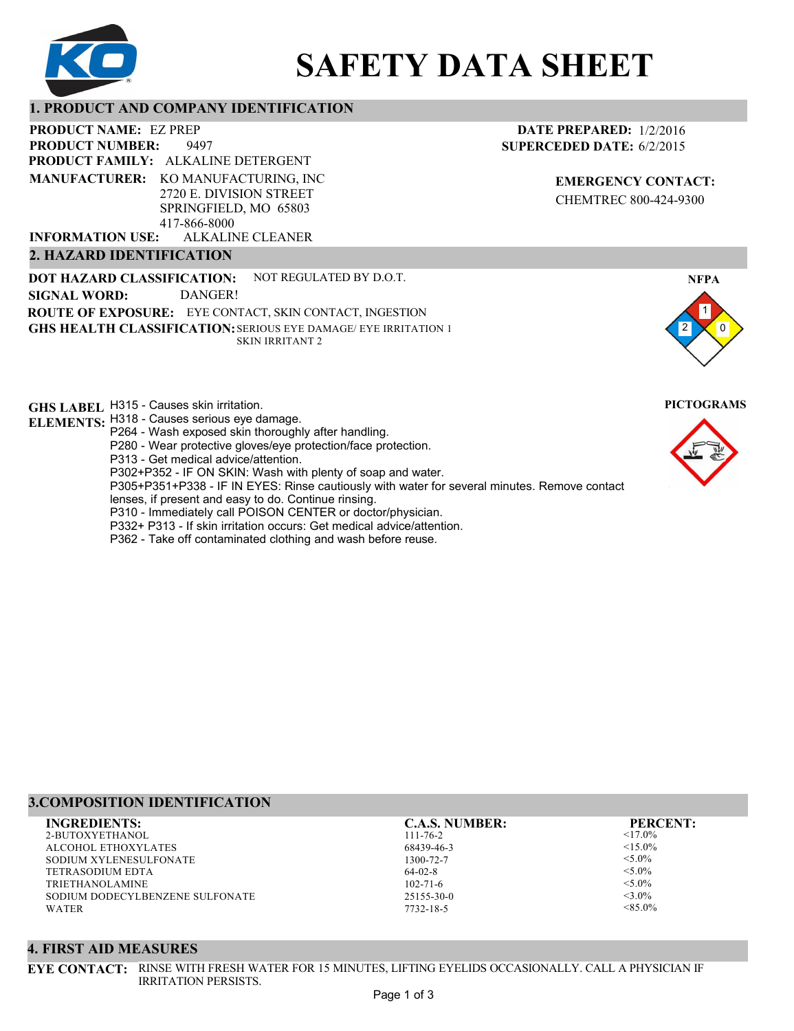

# **SAFETY DATA SHEET**

#### **1. PRODUCT AND COMPANY IDENTIFICATION**

9497 PRODUCT NAME: EZ PREP **PRODUCT FAMILY: ALKALINE DETERGENT** ALKALINE CLEANER **PRODUCT NUMBER: MANUFACTURER:** KO MANUFACTURING, INC 2720 E. DIVISION STREET SPRINGFIELD, MO 65803 417-866-8000 **INFORMATION USE:**

#### **2. HAZARD IDENTIFICATION**

**DOT HAZARD CLASSIFICATION: GHS HEALTH CLASSIFICATION:** SERIOUS EYE DAMAGE/ EYE IRRITATION 1 **ROUTE OF EXPOSURE:** EYE CONTACT, SKIN CONTACT, INGESTION NOT REGULATED BY D.O.T. SKIN IRRITANT 2 **SIGNAL WORD:** DANGER!

**GHS LABEL**  H315 - Causes skin irritation. **PICTOGRAMS**

- **ELEMENTS:** H318 Causes serious eye damage.
	- P264 Wash exposed skin thoroughly after handling.
	- P280 Wear protective gloves/eye protection/face protection.
	- P313 Get medical advice/attention.
	- P302+P352 IF ON SKIN: Wash with plenty of soap and water.

P305+P351+P338 - IF IN EYES: Rinse cautiously with water for several minutes. Remove contact

- lenses, if present and easy to do. Continue rinsing.
- P310 Immediately call POISON CENTER or doctor/physician. P332+ P313 - If skin irritation occurs: Get medical advice/attention.
- 
- P362 Take off contaminated clothing and wash before reuse.

### **DATE PREPARED:** 1/2/2016 **SUPERCEDED DATE:** 6/2/2015

**EMERGENCY CONTACT:** CHEMTREC 800-424-9300





# **3.COMPOSITION IDENTIFICATION**

2-BUTOXYETHANOL ALCOHOL ETHOXYLATES SODIUM XYLENESULFONATE TETRASODIUM EDTA TRIETHANOLAMINE SODIUM DODECYLBENZENE SULFONATE WATER **INGREDIENTS: C.A.S. NUMBER: PERCENT:**

111-76-2 68439-46-3 1300-72-7 64-02-8 102-71-6 25155-30-0

7732-18-5

 $<$ 17.0%  $<15.0\%$  $< 5.0\%$  $<$ 5.0%  $< 5.0\%$  $<$ 3.0%

 $< 85.0\%$ 

#### **4. FIRST AID MEASURES**

**EYE CONTACT:** RINSE WITH FRESH WATER FOR 15 MINUTES, LIFTING EYELIDS OCCASIONALLY. CALL A PHYSICIAN IF IRRITATION PERSISTS.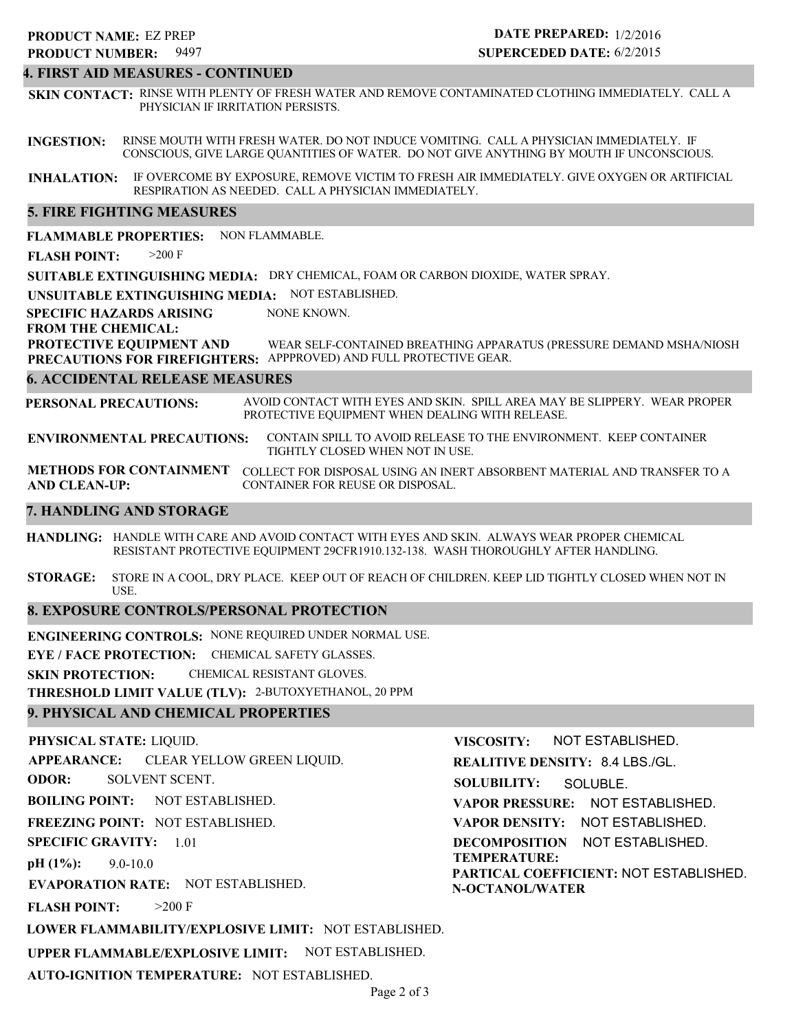### 9497 **PRODUCT NUMBER: PRODUCT NAME: EZ PREP**

## **DATE PREPARED:** 1/2/2016 **SUPERCEDED DATE:** 6/2/2015

#### **4. FIRST AID MEASURES - CONTINUED**

**SKIN CONTACT:** RINSE WITH PLENTY OF FRESH WATER AND REMOVE CONTAMINATED CLOTHING IMMEDIATELY. CALL A PHYSICIAN IF IRRITATION PERSISTS.

**INGESTION:** RINSE MOUTH WITH FRESH WATER. DO NOT INDUCE VOMITING. CALL A PHYSICIAN IMMEDIATELY. IF CONSCIOUS, GIVE LARGE QUANTITIES OF WATER. DO NOT GIVE ANYTHING BY MOUTH IF UNCONSCIOUS.

**INHALATION:** IF OVERCOME BY EXPOSURE, REMOVE VICTIM TO FRESH AIR IMMEDIATELY. GIVE OXYGEN OR ARTIFICIAL RESPIRATION AS NEEDED. CALL A PHYSICIAN IMMEDIATELY.

#### **5. FIRE FIGHTING MEASURES**

**FLAMMABLE PROPERTIES:** NON FLAMMABLE.

**FLASH POINT:** >200 F

**SUITABLE EXTINGUISHING MEDIA:** DRY CHEMICAL, FOAM OR CARBON DIOXIDE, WATER SPRAY.

**UNSUITABLE EXTINGUISHING MEDIA:** NOT ESTABLISHED.

**SPECIFIC HAZARDS ARISING** NONE KNOWN.

#### **FROM THE CHEMICAL:**

**PROTECTIVE EQUIPMENT AND PRECAUTIONS FOR FIREFIGHTERS:** APPPROVED) AND FULL PROTECTIVE GEAR. WEAR SELF-CONTAINED BREATHING APPARATUS (PRESSURE DEMAND MSHA/NIOSH

#### **6. ACCIDENTAL RELEASE MEASURES**

**PERSONAL PRECAUTIONS:** AVOID CONTACT WITH EYES AND SKIN. SPILL AREA MAY BE SLIPPERY. WEAR PROPER PROTECTIVE EQUIPMENT WHEN DEALING WITH RELEASE.

**ENVIRONMENTAL PRECAUTIONS:** CONTAIN SPILL TO AVOID RELEASE TO THE ENVIRONMENT. KEEP CONTAINER TIGHTLY CLOSED WHEN NOT IN USE.

**METHODS FOR CONTAINMENT** COLLECT FOR DISPOSAL USING AN INERT ABSORBENT MATERIAL AND TRANSFER TO A **AND CLEAN-UP:** CONTAINER FOR REUSE OR DISPOSAL.

#### **7. HANDLING AND STORAGE**

**HANDLING:** HANDLE WITH CARE AND AVOID CONTACT WITH EYES AND SKIN. ALWAYS WEAR PROPER CHEMICAL RESISTANT PROTECTIVE EQUIPMENT 29CFR1910.132-138. WASH THOROUGHLY AFTER HANDLING.

**STORAGE:** STORE IN A COOL, DRY PLACE. KEEP OUT OF REACH OF CHILDREN. KEEP LID TIGHTLY CLOSED WHEN NOT IN USE.

#### **8. EXPOSURE CONTROLS/PERSONAL PROTECTION**

**ENGINEERING CONTROLS:** NONE REQUIRED UNDER NORMAL USE.

**EYE / FACE PROTECTION:** CHEMICAL SAFETY GLASSES.

**SKIN PROTECTION:** CHEMICAL RESISTANT GLOVES.

**THRESHOLD LIMIT VALUE (TLV):** 2-BUTOXYETHANOL, 20 PPM

#### **9. PHYSICAL AND CHEMICAL PROPERTIES**

**PHYSICAL STATE:** LIQUID. **APPEARANCE: ODOR: BOILING POINT:** NOT ESTABLISHED. **FREEZING POINT:** NOT ESTABLISHED. **SPECIFIC GRAVITY:** 1.01 **pH (1%): EVAPORATION RATE:** NOT ESTABLISHED. **FLASH POINT: LOWER FLAMMABILITY/EXPLOSIVE LIMIT:** NOT ESTABLISHED. **UPPER FLAMMABLE/EXPLOSIVE LIMIT:** NOT ESTABLISHED. 9.0-10.0  $>200$  F CLEAR YELLOW GREEN LIQUID. SOLVENT SCENT. **VISCOSITY: REALITIVE DENSITY:** 8.4 LBS./GL. **SOLUBILITY: VAPOR PRESSURE:** NOT ESTABLISHED. **VAPOR DENSITY:** NOT ESTABLISHED. **DECOMPOSITION** NOT ESTABLISHED. **TEMPERATURE: PARTICAL COEFFICIENT:** NOT ESTABLISHED. **N-OCTANOL/WATER** NOT ESTABLISHED. SOLUBLE.

**AUTO-IGNITION TEMPERATURE:** NOT ESTABLISHED.